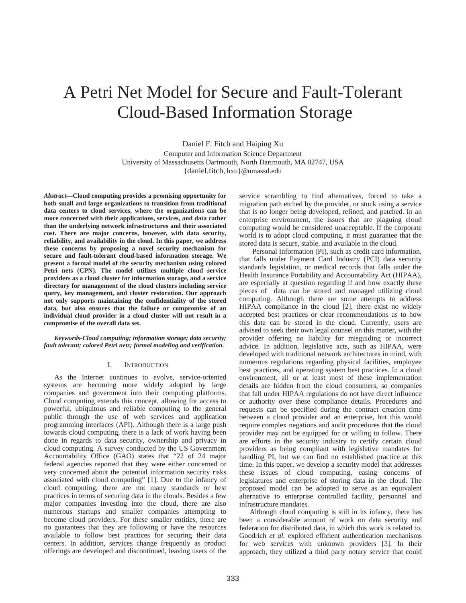# A Petri Net Model for Secure and Fault-Tolerant Cloud-Based Information Storage

Daniel F. Fitch and Haiping Xu Computer and Information Science Department University of Massachusetts Dartmouth, North Dartmouth, MA 02747, USA {daniel.fitch, hxu}@umassd.edu

*Abstract***—Cloud computing provides a promising opportunity for both small and large organizations to transition from traditional data centers to cloud services, where the organizations can be more concerned with their applications, services, and data rather than the underlying network infrastructures and their associated cost. There are major concerns, however, with data security, reliability, and availability in the cloud. In this paper, we address these concerns by proposing a novel security mechanism for secure and fault-tolerant cloud-based information storage. We present a formal model of the security mechanism using colored Petri nets (CPN). The model utilizes multiple cloud service providers as a cloud cluster for information storage, and a service directory for management of the cloud clusters including service query, key management, and cluster restoration. Our approach not only supports maintaining the confidentiality of the stored data, but also ensures that the failure or compromise of an individual cloud provider in a cloud cluster will not result in a compromise of the overall data set.** 

*Keywords-Cloud computing; information storage; data security; fault tolerant; colored Petri nets; formal modeling and verification.* 

## I. INTRODUCTION

As the Internet continues to evolve, service-oriented systems are becoming more widely adopted by large companies and government into their computing platforms. Cloud computing extends this concept, allowing for access to powerful, ubiquitous and reliable computing to the general public through the use of web services and application programming interfaces (API). Although there is a large push towards cloud computing, there is a lack of work having been done in regards to data security, ownership and privacy in cloud computing. A survey conducted by the US Government Accountability Office (GAO) states that "22 of 24 major federal agencies reported that they were either concerned or very concerned about the potential information security risks associated with cloud computing" [1]. Due to the infancy of cloud computing, there are not many standards or best practices in terms of securing data in the clouds. Besides a few major companies investing into the cloud, there are also numerous startups and smaller companies attempting to become cloud providers. For these smaller entities, there are no guarantees that they are following or have the resources available to follow best practices for securing their data centers. In addition, services change frequently as product offerings are developed and discontinued, leaving users of the

service scrambling to find alternatives, forced to take a migration path etched by the provider, or stuck using a service that is no longer being developed, refined, and patched. In an enterprise environment, the issues that are plaguing cloud computing would be considered unacceptable. If the corporate world is to adopt cloud computing, it must guarantee that the stored data is secure, stable, and available in the cloud.

Personal Information (PI), such as credit card information, that falls under Payment Card Industry (PCI) data security standards legislation, or medical records that falls under the Health Insurance Portability and Accountability Act (HIPAA), are especially at question regarding if and how exactly these pieces of data can be stored and managed utilizing cloud computing. Although there are some attempts to address HIPAA compliance in the cloud [2], there exist no widely accepted best practices or clear recommendations as to how this data can be stored in the cloud. Currently, users are advised to seek their own legal counsel on this matter, with the provider offering no liability for misguiding or incorrect advice. In addition, legislative acts, such as HIPAA, were developed with traditional network architectures in mind, with numerous regulations regarding physical facilities, employee best practices, and operating system best practices. In a cloud environment, all or at least most of these implementation details are hidden from the cloud consumers, so companies that fall under HIPAA regulations do not have direct influence or authority over these compliance details. Procedures and requests can be specified during the contract creation time between a cloud provider and an enterprise, but this would require complex negations and audit procedures that the cloud provider may not be equipped for or willing to follow. There are efforts in the security industry to certify certain cloud providers as being compliant with legislative mandates for handling PI, but we can find no established practice at this time. In this paper, we develop a security model that addresses these issues of cloud computing, easing concerns of legislatures and enterprise of storing data in the cloud. The proposed model can be adopted to serve as an equivalent alternative to enterprise controlled facility, personnel and infrastructure mandates.

Although cloud computing is still in its infancy, there has been a considerable amount of work on data security and federation for distributed data, in which this work is related to. Goodrich *et al.* explored efficient authentication mechanisms for web services with unknown providers [3]. In their approach, they utilized a third party notary service that could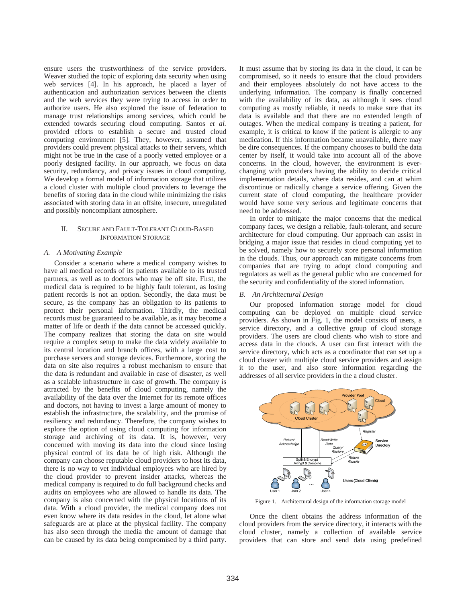ensure users the trustworthiness of the service providers. Weaver studied the topic of exploring data security when using web services [4]. In his approach, he placed a layer of authentication and authorization services between the clients and the web services they were trying to access in order to authorize users. He also explored the issue of federation to manage trust relationships among services, which could be extended towards securing cloud computing. Santos *et al.*  provided efforts to establish a secure and trusted cloud computing environment [5]. They, however, assumed that providers could prevent physical attacks to their servers, which might not be true in the case of a poorly vetted employee or a poorly designed facility. In our approach, we focus on data security, redundancy, and privacy issues in cloud computing. We develop a formal model of information storage that utilizes a cloud cluster with multiple cloud providers to leverage the benefits of storing data in the cloud while minimizing the risks associated with storing data in an offsite, insecure, unregulated and possibly noncompliant atmosphere.

## II. SECURE AND FAULT-TOLERANT CLOUD-BASED INFORMATION STORAGE

### *A. A Motivating Example*

Consider a scenario where a medical company wishes to have all medical records of its patients available to its trusted partners, as well as to doctors who may be off site. First, the medical data is required to be highly fault tolerant, as losing patient records is not an option. Secondly, the data must be secure, as the company has an obligation to its patients to protect their personal information. Thirdly, the medical records must be guaranteed to be available, as it may become a matter of life or death if the data cannot be accessed quickly. The company realizes that storing the data on site would require a complex setup to make the data widely available to its central location and branch offices, with a large cost to purchase servers and storage devices. Furthermore, storing the data on site also requires a robust mechanism to ensure that the data is redundant and available in case of disaster, as well as a scalable infrastructure in case of growth. The company is attracted by the benefits of cloud computing, namely the availability of the data over the Internet for its remote offices and doctors, not having to invest a large amount of money to establish the infrastructure, the scalability, and the promise of resiliency and redundancy. Therefore, the company wishes to explore the option of using cloud computing for information storage and archiving of its data. It is, however, very concerned with moving its data into the cloud since losing physical control of its data be of high risk. Although the company can choose reputable cloud providers to host its data, there is no way to vet individual employees who are hired by the cloud provider to prevent insider attacks, whereas the medical company is required to do full background checks and audits on employees who are allowed to handle its data. The company is also concerned with the physical locations of its data. With a cloud provider, the medical company does not even know where its data resides in the cloud, let alone what safeguards are at place at the physical facility. The company has also seen through the media the amount of damage that can be caused by its data being compromised by a third party.

It must assume that by storing its data in the cloud, it can be compromised, so it needs to ensure that the cloud providers and their employees absolutely do not have access to the underlying information. The company is finally concerned with the availability of its data, as although it sees cloud computing as mostly reliable, it needs to make sure that its data is available and that there are no extended length of outages. When the medical company is treating a patient, for example, it is critical to know if the patient is allergic to any medication. If this information became unavailable, there may be dire consequences. If the company chooses to build the data center by itself, it would take into account all of the above concerns. In the cloud, however, the environment is everchanging with providers having the ability to decide critical implementation details, where data resides, and can at whim discontinue or radically change a service offering. Given the current state of cloud computing, the healthcare provider would have some very serious and legitimate concerns that need to be addressed.

In order to mitigate the major concerns that the medical company faces, we design a reliable, fault-tolerant, and secure architecture for cloud computing. Our approach can assist in bridging a major issue that resides in cloud computing yet to be solved, namely how to securely store personal information in the clouds. Thus, our approach can mitigate concerns from companies that are trying to adopt cloud computing and regulators as well as the general public who are concerned for the security and confidentiality of the stored information.

#### *B. An Architectural Design*

Our proposed information storage model for cloud computing can be deployed on multiple cloud service providers. As shown in Fig. 1, the model consists of users, a service directory, and a collective group of cloud storage providers. The users are cloud clients who wish to store and access data in the clouds. A user can first interact with the service directory, which acts as a coordinator that can set up a cloud cluster with multiple cloud service providers and assign it to the user, and also store information regarding the addresses of all service providers in the a cloud cluster.



Figure 1. Architectural design of the information storage model

Once the client obtains the address information of the cloud providers from the service directory, it interacts with the cloud cluster, namely a collection of available service providers that can store and send data using predefined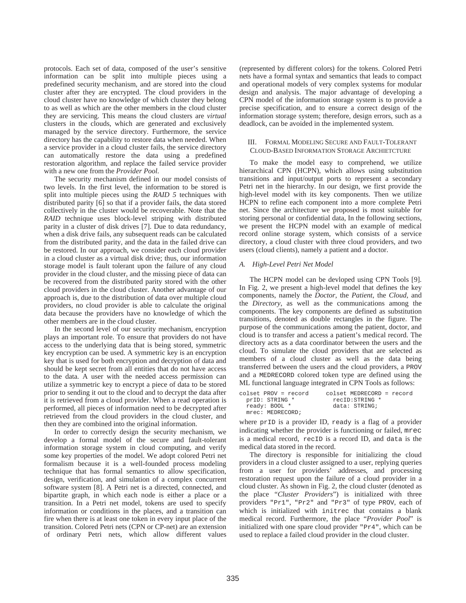protocols. Each set of data, composed of the user's sensitive information can be split into multiple pieces using a predefined security mechanism, and are stored into the cloud cluster after they are encrypted. The cloud providers in the cloud cluster have no knowledge of which cluster they belong to as well as which are the other members in the cloud cluster they are servicing. This means the cloud clusters are *virtual* clusters in the clouds, which are generated and exclusively managed by the service directory. Furthermore, the service directory has the capability to restore data when needed. When a service provider in a cloud cluster fails, the service directory can automatically restore the data using a predefined restoration algorithm, and replace the failed service provider with a new one from the *Provider Pool*.

The security mechanism defined in our model consists of two levels. In the first level, the information to be stored is split into multiple pieces using the *RAID 5* techniques with distributed parity [6] so that if a provider fails, the data stored collectively in the cluster would be recoverable. Note that the *RAID* technique uses block-level striping with distributed parity in a cluster of disk drives [7]. Due to data redundancy, when a disk drive fails, any subsequent reads can be calculated from the distributed parity, and the data in the failed drive can be restored. In our approach, we consider each cloud provider in a cloud cluster as a virtual disk drive; thus, our information storage model is fault tolerant upon the failure of any cloud provider in the cloud cluster, and the missing piece of data can be recovered from the distributed parity stored with the other cloud providers in the cloud cluster. Another advantage of our approach is, due to the distribution of data over multiple cloud providers, no cloud provider is able to calculate the original data because the providers have no knowledge of which the other members are in the cloud cluster.

In the second level of our security mechanism, encryption plays an important role. To ensure that providers do not have access to the underlying data that is being stored, symmetric key encryption can be used. A symmetric key is an encryption key that is used for both encryption and decryption of data and should be kept secret from all entities that do not have access to the data. A user with the needed access permission can utilize a symmetric key to encrypt a piece of data to be stored prior to sending it out to the cloud and to decrypt the data after it is retrieved from a cloud provider. When a read operation is performed, all pieces of information need to be decrypted after retrieved from the cloud providers in the cloud cluster, and then they are combined into the original information.

In order to correctly design the security mechanism, we develop a formal model of the secure and fault-tolerant information storage system in cloud computing, and verify some key properties of the model. We adopt colored Petri net formalism because it is a well-founded process modeling technique that has formal semantics to allow specification, design, verification, and simulation of a complex concurrent software system [8]. A Petri net is a directed, connected, and bipartite graph, in which each node is either a place or a transition. In a Petri net model, tokens are used to specify information or conditions in the places, and a transition can fire when there is at least one token in every input place of the transition. Colored Petri nets (CPN or CP-net) are an extension of ordinary Petri nets, which allow different values

(represented by different colors) for the tokens. Colored Petri nets have a formal syntax and semantics that leads to compact and operational models of very complex systems for modular design and analysis. The major advantage of developing a CPN model of the information storage system is to provide a precise specification, and to ensure a correct design of the information storage system; therefore, design errors, such as a deadlock, can be avoided in the implemented system.

## III. FORMAL MODELING SECURE AND FAULT-TOLERANT CLOUD-BASED INFORMATION STORAGE ARCHIETCTURE

To make the model easy to comprehend, we utilize hierarchical CPN (HCPN), which allows using substitution transitions and input/output ports to represent a secondary Petri net in the hierarchy. In our design, we first provide the high-level model with its key components. Then we utilize HCPN to refine each component into a more complete Petri net. Since the architecture we proposed is most suitable for storing personal or confidential data, In the following sections, we present the HCPN model with an example of medical record online storage system, which consists of a service directory, a cloud cluster with three cloud providers, and two users (cloud clients), namely a patient and a doctor.

# *A. High-Level Petri Net Model*

The HCPN model can be devloped using CPN Tools [9]. In Fig. 2, we present a high-level model that defines the key components, namely the *Doctor*, the *Patient*, the *Cloud*, and the *Directory*, as well as the communications among the components. The key components are defined as substitution transitions, denoted as double rectangles in the figure. The purpose of the communications among the patient, doctor, and cloud is to transfer and access a patient's medical record. The directory acts as a data coordinator between the users and the cloud. To simulate the cloud providers that are selected as members of a cloud cluster as well as the data being transferred between the users and the cloud providers, a PROV and a MEDRECORD colored token type are defined using the ML functional language integrated in CPN Tools as follows:

| colset PROV = record | colset MEDRECORD = record |
|----------------------|---------------------------|
| priD: STRING *       | recID:STRING *            |
| ready: BOOL *        | data: STRING;             |
| mrec: MEDRECORD:     |                           |

where prID is a provider ID, ready is a flag of a provider indicating whether the provider is functioning or failed, mrec is a medical record, recID is a record ID, and data is the medical data stored in the record.

The directory is responsible for initializing the cloud providers in a cloud cluster assigned to a user, replying queries from a user for providers' addresses, and processing restoration request upon the failure of a cloud provider in a cloud cluster. As shown in Fig. 2, the cloud cluster (denoted as the place "*Cluster Providers*") is initialized with three providers "Pr1", "Pr2" and "Pr3" of type PROV, each of which is initialized with initrec that contains a blank medical record. Furthermore, the place "*Provider Pool*" is initialized with one spare cloud provider "Pr4", which can be used to replace a failed cloud provider in the cloud cluster.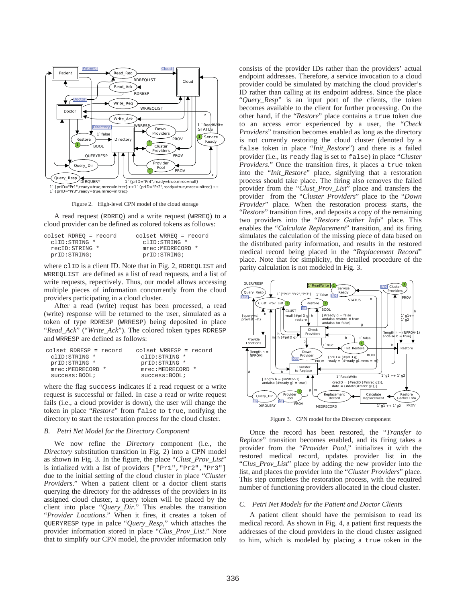

Figure 2. High-level CPN model of the cloud storage

A read request (RDREQ) and a write request (WRREQ) to a cloud provider can be defined as colored tokens as follows:

| colset RDREO = record | colset WRREO = record |
|-----------------------|-----------------------|
| clID:STRING *         | clID:STRING *         |
| recID: STRING *       | mrec:MEDRECORD *      |
| prID: STRING;         | prID: STRING;         |

where clip is a client ID. Note that in Fig. 2, RDREQLIST and WRREQLIST are defined as a list of read requests, and a list of write requests, repectively. Thus, our model allows accessing multiple pieces of information concurrently from the cloud providers participating in a cloud cluster.

After a read (write) requst has been processed, a read (write) response will be returned to the user, simulated as a token of type RDRESP (WRRESP) being deposited in place "*Read\_Ack*" ("*Write\_Ack*"). The colored token types RDRESP and WRRESP are defined as follows:

| $colset$ RDRESP = record | $colset$ WRRESP = record |
|--------------------------|--------------------------|
| clID:STRING *            | clID:STRING *            |
| prID:STRING *            | prID:STRING *            |
| mrec:MEDRECORD *         | mrec:MEDRECORD *         |
| success:B00L;            | success:BOOL             |

where the flag success indicates if a read request or a write request is successful or failed. In case a read or write request fails (i.e., a cloud provider is down), the user will change the token in place "*Restore*" from false to true, notifying the directory to start the restoration process for the cloud cluster.

#### *B. Petri Net Model for the Directory Component*

We now refine the *Directory* component (i.e., the *Directory* substitution transition in Fig. 2) into a CPN model as shown in Fig. 3. In the figure, the place "*Clust\_Prov\_List*" is intialized with a list of providers ["Pr1","Pr2","Pr3"] due to the initial setting of the cloud cluster in place "*Cluster Providers*." When a patient client or a doctor client starts querying the directory for the addresses of the providers in its assigned cloud cluster, a query token will be placed by the client into place "*Query\_Dir*." This enables the transition "*Provider Locations*." When it fires, it creates a token of QUERYRESP type in palce "*Query\_Resp*," which attaches the provider information stored in place "*Clus\_Prov\_List*." Note that to simplify our CPN model, the provider information only consists of the provider IDs rather than the providers' actual endpoint addresses. Therefore, a service invocation to a cloud provider could be simulated by matching the cloud provider's ID rather than calling at its endpoint address. Since the place "*Query\_Resp*" is an input port of the clients, the token becomes available to the client for further processing. On the other hand, if the "*Restore*" place contains a true token due to an access error experienced by a user, the "*Check Providers*" transition becomes enabled as long as the directory is not currently restoring the cloud cluster (denoted by a false token in place "*Init\_Restore*") and there is a failed provider (i.e., its ready flag is set to false) in place "*Cluster Providers.*" Once the transition fires, it places a true token into the "*Init\_Restore*" place, signifying that a restoration process should take place. The firing also removes the failed provider from the "*Clust\_Prov\_List*" place and transfers the provider from the "*Cluster Providers*" place to the "*Down Provider*" place. When the restoration process starts, the "*Restore*" transition fires, and deposits a copy of the remaining two providers into the "*Restore Gather Info*" place. This enables the "*Calculate Replacement*" transition, and its firing simulates the calculation of the missing piece of data based on the distributed parity information, and results in the restored medical record being placed in the "*Replacement Record*" place. Note that for simplicity, the detailed procedure of the parity calculation is not modeled in Fig. 3.



Figure 3. CPN model for the Directory component

Once the record has been restored, the "*Transfer to Replace*" transition becomes enabled, and its firing takes a provider from the "*Provider Pool*," initializes it with the restored medical record, updates provider list in the "*Clus\_Prov\_List*" place by adding the new provider into the list, and places the provider into the "*Cluster Providers*" place. This step completes the restoration process, with the required number of functioning providers allocated in the cloud cluster.

# *C. Petri Net Models for the Patient and Doctor Clients*

A patient client should have the permisison to read its medical record. As shown in Fig. 4, a patient first requests the addresses of the cloud providers in the cloud cluster assigned to him, which is modeled by placing a true token in the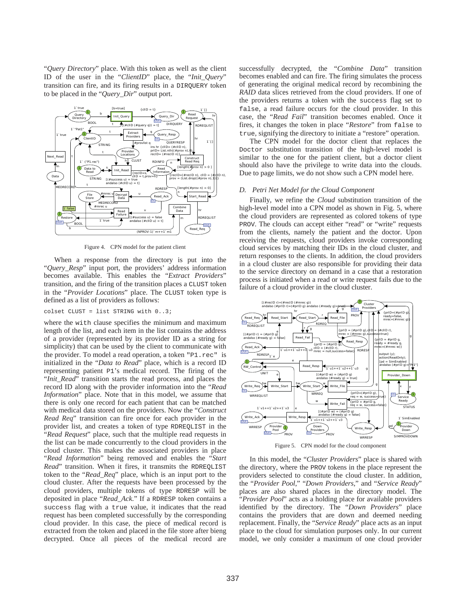"*Query Directory*" place. With this token as well as the client ID of the user in the "*ClientID*" place, the "*Init\_Query*" transition can fire, and its firing results in a DIRQUERY token to be placed in the "*Query\_Dir*" output port.



Figure 4. CPN model for the patient client

When a response from the directory is put into the "*Query\_Resp*" input port, the providers' address information becomes available. This enables the "*Extract Providers*" transition, and the firing of the transition places a CLUST token in the "*Provider Locations*" place. The CLUST token type is defined as a list of providers as follows:

colset CLUST = list STRING with 0..3;

where the with clause specifies the minimum and maximum length of the list, and each item in the list contains the address of a provider (represented by its provider ID as a string for simplicity) that can be used by the client to communicate with the provider. To model a read operation, a token "P1.rec" is initialized in the "*Data to Read*" place, which is a record ID representing patient P1's medical record. The firing of the "*Init\_Read*" transition starts the read process, and places the record ID along with the provider information into the "*Read Information*" place. Note that in this model, we assume that there is only one record for each patient that can be matched with medical data stored on the providers. Now the "*Construct Read Req*" transition can fire once for each provider in the provider list, and creates a token of type RDREQLIST in the "*Read Request*" place, such that the multiple read requests in the list can be made concurrently to the cloud providers in the cloud cluster. This makes the associated providers in place "*Read Information*" being removed and enables the "*Start Read*" transition. When it fires, it transmits the RDREQLIST token to the "*Read\_Req*" place, which is an input port to the cloud cluster. After the requests have been processed by the cloud providers, multiple tokens of type RDRESP will be deposited in place "*Read\_Ack*." If a RDRESP token contains a success flag with a true value, it indicates that the read request has been completed successfully by the corresponding cloud provider. In this case, the piece of medical record is extracted from the token and placed in the file store after bieng decrypted. Once all pieces of the medical record are

successfully decrypted, the "*Combine Data*" transition becomes enabled and can fire. The firing simulates the process of generating the original medical record by recombining the *RAID* data slices retrieved from the cloud providers. If one of the providers returns a token with the success flag set to false, a read failure occurs for the cloud provider. In this case, the "*Read Fail*" transition becomes enabled. Once it fires, it changes the token in place "*Restore*" from false to true, signifying the directory to initiate a "restore" operation.

The CPN model for the doctor client that replaces the Doctor substitution transition of the high-level model is similar to the one for the patient client, but a doctor client should also have the privilege to write data into the clouds. Due to page limits, we do not show such a CPN model here.

#### *D. Petri Net Model for the Cloud Component*

Finally, we refine the *Cloud* substitution transition of the high-level model into a CPN model as shown in Fig. 5, where the cloud providers are represented as colored tokens of type PROV. The clouds can accept either "read" or "write" requests from the clients, namely the patient and the doctor. Upon receiving the requests, cloud providers invoke corresponding cloud services by matching their IDs in the cloud cluster, and return responses to the clients. In addition, the cloud providers in a cloud cluster are also responsible for providing their data to the service directory on demand in a case that a restoration process is initiated when a read or write request fails due to the failure of a cloud provider in the cloud cluster.



Figure 5. CPN model for the cloud component

In this model, the "*Cluster Providers*" place is shared with the directory, where the PROV tokens in the place represent the providers selected to constitute the cloud cluster. In addition, the "*Provider Pool*," "*Down Providers*," and "*Service Ready*" places are also shared places in the directory model. The "*Provider Pool*" acts as a holding place for available providers identified by the directory. The "*Down Providers*" place contains the providers that are down and deemed needing replacement. Finally, the "*Service Ready*" place acts as an input place to the cloud for simulation purposes only. In our current model, we only consider a maximum of one cloud provider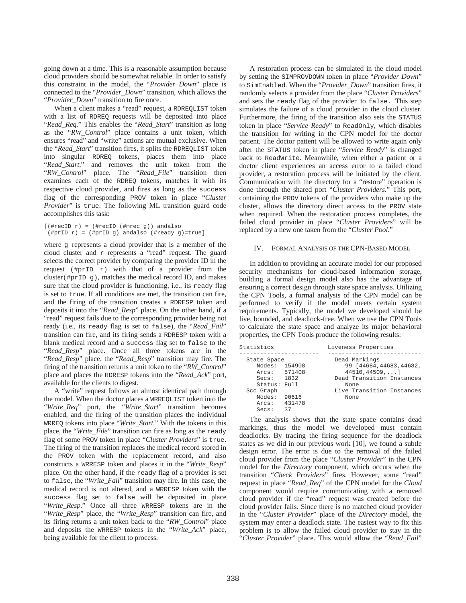going down at a time. This is a reasonable assumption because cloud providers should be somewhat reliable. In order to satisfy this constraint in the model, the "*Provider Down*" place is connected to the "*Provider\_Down*" transition, which allows the "*Provider\_Down*" transition to fire once.

When a client makes a "read" request, a RDREQLIST token with a list of RDREQ requests will be deposited into place "*Read\_Req*." This enables the "*Read\_Start*" transition as long as the "*RW\_Control*" place contains a unit token, which ensures "read" and "write" actions are mutual exclusive. When the "*Read\_Start*" transition fires, it splits the RDREQLIST token into singular RDREQ tokens, places them into place "*Read\_Start*," and removes the unit token from the "*RW\_Control*" place. The "*Read\_File*" transition then examines each of the RDREQ tokens, matches it with its respective cloud provider, and fires as long as the success flag of the corresponding PROV token in place "*Cluster Provider*" is true. The following ML transition guard code accomplishes this task:

```
[ (#recID r) = (#recID (#mrec g)) andalso
(#prID r) = (#prID g) andalso (#ready g)=true]
```
where g represents a cloud provider that is a member of the cloud cluster and  $r$  represents a "read" request. The guard selects the correct provider by comparing the provider ID in the request  $(\#prfD \rightharpoonup r)$  with that of a provider from the cluster( $\#prfD$  g), matches the medical record ID, and makes sure that the cloud provider is functioning, i.e., its ready flag is set to true. If all conditions are met, the transition can fire, and the firing of the transition creates a RDRESP token and deposits it into the "*Read\_Resp*" place. On the other hand, if a "read" request fails due to the corresponding provider being not ready (i.e., its ready flag is set to false), the "*Read\_Fail*" transition can fire, and its firing sends a RDRESP token with a blank medical record and a success flag set to false to the "*Read\_Resp*" place. Once all three tokens are in the "*Read\_Resp*" place, the "*Read\_Resp*" transition may fire. The firing of the transition returns a unit token to the "*RW\_Control*" place and places the RDRESP tokens into the "*Read\_Ack*" port, available for the clients to digest.

A "write" request follows an almost identical path through the model. When the doctor places a WRREQLIST token into the "*Write\_Req*" port, the "*Write\_Start*" transition becomes enabled, and the firing of the transition places the individual WRREQ tokens into place "*Write\_Start*." With the tokens in this place, the "*Write\_File*" transition can fire as long as the ready flag of some PROV token in place "*Cluster Providers*" is true. The firing of the transition replaces the medical record stored in the PROV token with the replacement record, and also constructs a WRRESP token and places it in the "*Write\_Resp*" place. On the other hand, if the ready flag of a provider is set to false, the "*Write\_Fail*" transition may fire. In this case, the medical record is not altered, and a WRRESP token with the success flag set to false will be deposited in place "*Write\_Resp*." Once all three WRRESP tokens are in the "*Write\_Resp*" place, the "*Write\_Resp*" transition can fire, and its firing returns a unit token back to the "*RW\_Control*" place and deposits the WRRESP tokens in the "*Write\_Ack*" place, being available for the client to process.

A restoration process can be simulated in the cloud model by setting the SIMPROVDOWN token in place "*Provider Down*" to SimEnabled. When the "*Provider\_Down*" transition fires, it randomly selects a provider from the place "*Cluster Providers*" and sets the ready flag of the provider to false. This step simulates the failure of a cloud provider in the cloud cluster. Furthermore, the firing of the transition also sets the STATUS token in place "*Service Ready*" to ReadOnly, which disables the transition for writing in the CPN model for the doctor patient. The doctor patient will be allowed to write again only after the STATUS token in place "*Service Ready*" is changed back to ReadWrite. Meanwhile, when either a patient or a doctor client experiences an access error to a failed cloud provider, a restoration process will be initiated by the client. Communication with the directory for a "restore" operation is done through the shared port "*Cluster Providers*." This port, containing the PROV tokens of the providers who make up the cluster, allows the directory direct access to the PROV state when required. When the restoration process completes, the failed cloud provider in place "*Cluster Providers*" will be replaced by a new one taken from the "*Cluster Pool*."

# IV. FORMAL ANALYSIS OF THE CPN-BASED MODEL

In addition to providing an accurate model for our proposed security mechanisms for cloud-based information storage, building a formal design model also has the advantage of ensuring a correct design through state space analysis. Utilizing the CPN Tools, a formal analysis of the CPN model can be performed to verify if the model meets certain system requirements. Typically, the model we developed should be live, bounded, and deadlock-free. When we use the CPN Tools to calculate the state space and analyze its major behavioral properties, the CPN Tools produce the following results:

| Statistics                                                 |                       | Liveness Properties                                                                              |  |  |
|------------------------------------------------------------|-----------------------|--------------------------------------------------------------------------------------------------|--|--|
| State Space<br>Nodes: 154908<br>Arcs: 571408<br>Secs: 1832 |                       | Dead Markings<br>99 [44684, 44683, 44682,<br>$44510, 44509, \ldots$<br>Dead Transition Instances |  |  |
| Status: Full<br>Scc Graph                                  |                       | None<br>Live Transition Instances                                                                |  |  |
| Nodes:<br>Arcs:<br>Secs:                                   | 90616<br>431478<br>37 | None                                                                                             |  |  |

The analysis shows that the state space contains dead markings, thus the model we developed must contain deadlocks. By tracing the firing sequence for the deadlock states as we did in our previous work [10], we found a subtle design error. The error is due to the removal of the failed cloud provider from the place "*Cluster Provider*" in the CPN model for the *Directory* component, which occurs when the transition "*Check Providers*" fires. However, some "read" request in place "*Read\_Req*" of the CPN model for the *Cloud* component would require communicating with a removed cloud provider if the "read" request was created before the cloud provider fails. Since there is no matched cloud provider in the "*Cluster Provider*" place of the *Directory* model, the system may enter a deadlock state. The easiest way to fix this problem is to allow the failed cloud provider to stay in the "*Cluster Provider*" place. This would allow the "*Read\_Fail*"